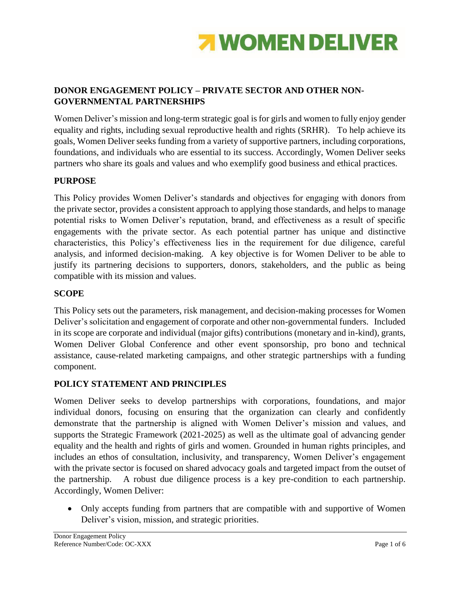

# **DONOR ENGAGEMENT POLICY – PRIVATE SECTOR AND OTHER NON-GOVERNMENTAL PARTNERSHIPS**

Women Deliver's mission and long-term strategic goal is for girls and women to fully enjoy gender equality and rights, including sexual reproductive health and rights (SRHR). To help achieve its goals, Women Deliver seeks funding from a variety of supportive partners, including corporations, foundations, and individuals who are essential to its success. Accordingly, Women Deliver seeks partners who share its goals and values and who exemplify good business and ethical practices.

## **PURPOSE**

This Policy provides Women Deliver's standards and objectives for engaging with donors from the private sector, provides a consistent approach to applying those standards, and helps to manage potential risks to Women Deliver's reputation, brand, and effectiveness as a result of specific engagements with the private sector. As each potential partner has unique and distinctive characteristics, this Policy's effectiveness lies in the requirement for due diligence, careful analysis, and informed decision-making. A key objective is for Women Deliver to be able to justify its partnering decisions to supporters, donors, stakeholders, and the public as being compatible with its mission and values.

### **SCOPE**

This Policy sets out the parameters, risk management, and decision-making processes for Women Deliver's solicitation and engagement of corporate and other non-governmental funders. Included in its scope are corporate and individual (major gifts) contributions (monetary and in-kind), grants, Women Deliver Global Conference and other event sponsorship, pro bono and technical assistance, cause-related marketing campaigns, and other strategic partnerships with a funding component.

### **POLICY STATEMENT AND PRINCIPLES**

Women Deliver seeks to develop partnerships with corporations, foundations, and major individual donors, focusing on ensuring that the organization can clearly and confidently demonstrate that the partnership is aligned with Women Deliver's mission and values, and supports the Strategic Framework (2021-2025) as well as the ultimate goal of advancing gender equality and the health and rights of girls and women. Grounded in human rights principles, and includes an ethos of consultation, inclusivity, and transparency, Women Deliver's engagement with the private sector is focused on shared advocacy goals and targeted impact from the outset of the partnership. A robust due diligence process is a key pre-condition to each partnership. Accordingly, Women Deliver:

 Only accepts funding from partners that are compatible with and supportive of Women Deliver's vision, mission, and strategic priorities.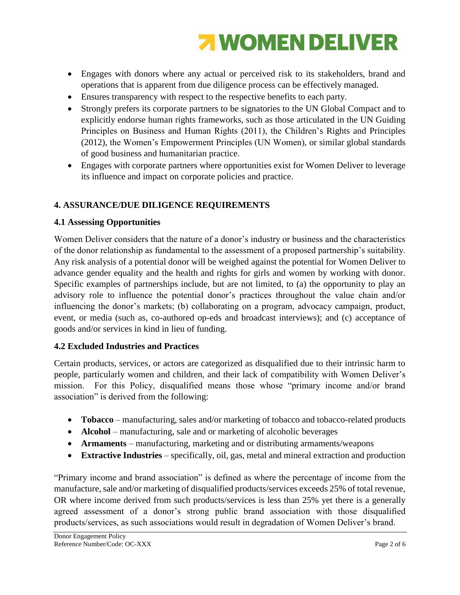

- Engages with donors where any actual or perceived risk to its stakeholders, brand and operations that is apparent from due diligence process can be effectively managed.
- Ensures transparency with respect to the respective benefits to each party.
- Strongly prefers its corporate partners to be signatories to the UN Global Compact and to explicitly endorse human rights frameworks, such as those articulated in the UN Guiding Principles on Business and Human Rights (2011), the Children's Rights and Principles (2012), the Women's Empowerment Principles (UN Women), or similar global standards of good business and humanitarian practice.
- Engages with corporate partners where opportunities exist for Women Deliver to leverage its influence and impact on corporate policies and practice.

# **4. ASSURANCE/DUE DILIGENCE REQUIREMENTS**

## **4.1 Assessing Opportunities**

Women Deliver considers that the nature of a donor's industry or business and the characteristics of the donor relationship as fundamental to the assessment of a proposed partnership's suitability. Any risk analysis of a potential donor will be weighed against the potential for Women Deliver to advance gender equality and the health and rights for girls and women by working with donor. Specific examples of partnerships include, but are not limited, to (a) the opportunity to play an advisory role to influence the potential donor's practices throughout the value chain and/or influencing the donor's markets; (b) collaborating on a program, advocacy campaign, product, event, or media (such as, co-authored op-eds and broadcast interviews); and (c) acceptance of goods and/or services in kind in lieu of funding.

## **4.2 Excluded Industries and Practices**

Certain products, services, or actors are categorized as disqualified due to their intrinsic harm to people, particularly women and children, and their lack of compatibility with Women Deliver's mission. For this Policy, disqualified means those whose "primary income and/or brand association" is derived from the following:

- **Tobacco** manufacturing, sales and/or marketing of tobacco and tobacco-related products
- **Alcohol** manufacturing, sale and or marketing of alcoholic beverages
- **Armaments** manufacturing, marketing and or distributing armaments/weapons
- **Extractive Industries** specifically, oil, gas, metal and mineral extraction and production

"Primary income and brand association" is defined as where the percentage of income from the manufacture, sale and/or marketing of disqualified products/services exceeds 25% of total revenue, OR where income derived from such products/services is less than 25% yet there is a generally agreed assessment of a donor's strong public brand association with those disqualified products/services, as such associations would result in degradation of Women Deliver's brand.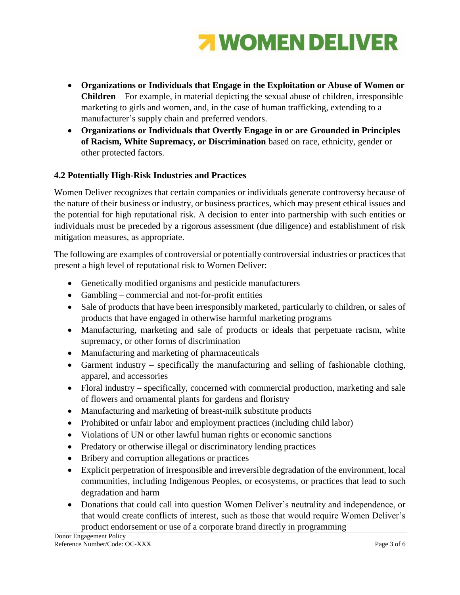

- **Organizations or Individuals that Engage in the Exploitation or Abuse of Women or Children** – For example, in material depicting the sexual abuse of children, irresponsible marketing to girls and women, and, in the case of human trafficking, extending to a manufacturer's supply chain and preferred vendors.
- **Organizations or Individuals that Overtly Engage in or are Grounded in Principles of Racism, White Supremacy, or Discrimination** based on race, ethnicity, gender or other protected factors.

## **4.2 Potentially High-Risk Industries and Practices**

Women Deliver recognizes that certain companies or individuals generate controversy because of the nature of their business or industry, or business practices, which may present ethical issues and the potential for high reputational risk. A decision to enter into partnership with such entities or individuals must be preceded by a rigorous assessment (due diligence) and establishment of risk mitigation measures, as appropriate.

The following are examples of controversial or potentially controversial industries or practices that present a high level of reputational risk to Women Deliver:

- Genetically modified organisms and pesticide manufacturers
- Gambling commercial and not-for-profit entities
- Sale of products that have been irresponsibly marketed, particularly to children, or sales of products that have engaged in otherwise harmful marketing programs
- Manufacturing, marketing and sale of products or ideals that perpetuate racism, white supremacy, or other forms of discrimination
- Manufacturing and marketing of pharmaceuticals
- Garment industry specifically the manufacturing and selling of fashionable clothing, apparel, and accessories
- Floral industry specifically, concerned with commercial production, marketing and sale of flowers and ornamental plants for gardens and floristry
- Manufacturing and marketing of breast-milk substitute products
- Prohibited or unfair labor and employment practices (including child labor)
- Violations of UN or other lawful human rights or economic sanctions
- Predatory or otherwise illegal or discriminatory lending practices
- Bribery and corruption allegations or practices
- Explicit perpetration of irresponsible and irreversible degradation of the environment, local communities, including Indigenous Peoples, or ecosystems, or practices that lead to such degradation and harm
- Donations that could call into question Women Deliver's neutrality and independence, or that would create conflicts of interest, such as those that would require Women Deliver's product endorsement or use of a corporate brand directly in programming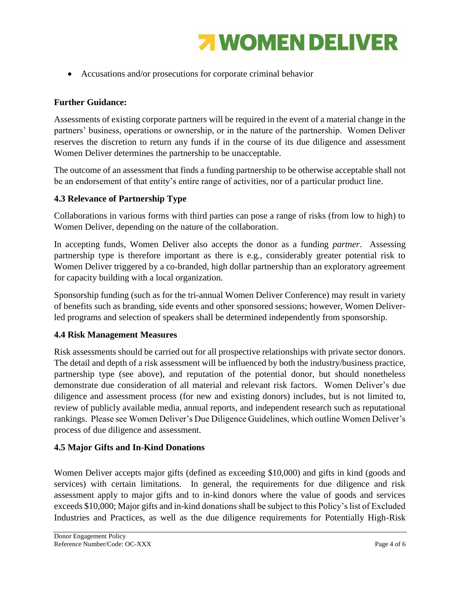

Accusations and/or prosecutions for corporate criminal behavior

## **Further Guidance:**

Assessments of existing corporate partners will be required in the event of a material change in the partners' business, operations or ownership, or in the nature of the partnership. Women Deliver reserves the discretion to return any funds if in the course of its due diligence and assessment Women Deliver determines the partnership to be unacceptable.

The outcome of an assessment that finds a funding partnership to be otherwise acceptable shall not be an endorsement of that entity's entire range of activities, nor of a particular product line.

## **4.3 Relevance of Partnership Type**

Collaborations in various forms with third parties can pose a range of risks (from low to high) to Women Deliver, depending on the nature of the collaboration.

In accepting funds, Women Deliver also accepts the donor as a funding *partner*. Assessing partnership type is therefore important as there is e.g., considerably greater potential risk to Women Deliver triggered by a co-branded, high dollar partnership than an exploratory agreement for capacity building with a local organization.

Sponsorship funding (such as for the tri-annual Women Deliver Conference) may result in variety of benefits such as branding, side events and other sponsored sessions; however, Women Deliverled programs and selection of speakers shall be determined independently from sponsorship.

### **4.4 Risk Management Measures**

Risk assessments should be carried out for all prospective relationships with private sector donors. The detail and depth of a risk assessment will be influenced by both the industry/business practice, partnership type (see above), and reputation of the potential donor, but should nonetheless demonstrate due consideration of all material and relevant risk factors. Women Deliver's due diligence and assessment process (for new and existing donors) includes, but is not limited to, review of publicly available media, annual reports, and independent research such as reputational rankings. Please see Women Deliver's Due Diligence Guidelines, which outline Women Deliver's process of due diligence and assessment.

### **4.5 Major Gifts and In-Kind Donations**

Women Deliver accepts major gifts (defined as exceeding \$10,000) and gifts in kind (goods and services) with certain limitations. In general, the requirements for due diligence and risk assessment apply to major gifts and to in-kind donors where the value of goods and services exceeds \$10,000; Major gifts and in-kind donations shall be subject to this Policy's list of Excluded Industries and Practices, as well as the due diligence requirements for Potentially High-Risk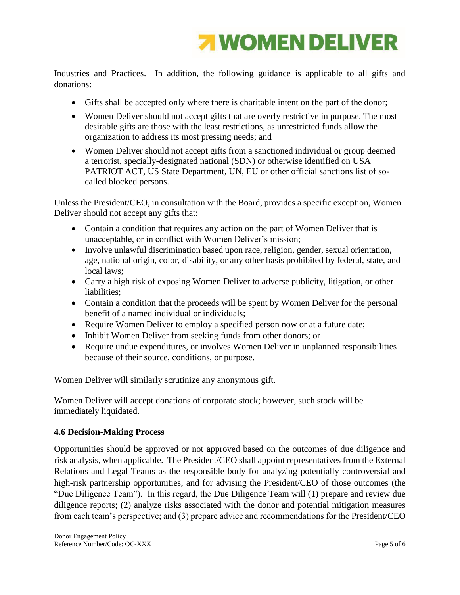

Industries and Practices. In addition, the following guidance is applicable to all gifts and donations:

- Gifts shall be accepted only where there is charitable intent on the part of the donor;
- Women Deliver should not accept gifts that are overly restrictive in purpose. The most desirable gifts are those with the least restrictions, as unrestricted funds allow the organization to address its most pressing needs; and
- Women Deliver should not accept gifts from a sanctioned individual or group deemed a terrorist, specially-designated national (SDN) or otherwise identified on USA PATRIOT ACT, US State Department, UN, EU or other official sanctions list of socalled blocked persons.

Unless the President/CEO, in consultation with the Board, provides a specific exception, Women Deliver should not accept any gifts that:

- Contain a condition that requires any action on the part of Women Deliver that is unacceptable, or in conflict with Women Deliver's mission;
- Involve unlawful discrimination based upon race, religion, gender, sexual orientation, age, national origin, color, disability, or any other basis prohibited by federal, state, and local laws;
- Carry a high risk of exposing Women Deliver to adverse publicity, litigation, or other liabilities;
- Contain a condition that the proceeds will be spent by Women Deliver for the personal benefit of a named individual or individuals;
- Require Women Deliver to employ a specified person now or at a future date;
- Inhibit Women Deliver from seeking funds from other donors; or
- Require undue expenditures, or involves Women Deliver in unplanned responsibilities because of their source, conditions, or purpose.

Women Deliver will similarly scrutinize any anonymous gift.

Women Deliver will accept donations of corporate stock; however, such stock will be immediately liquidated.

# **4.6 Decision-Making Process**

Opportunities should be approved or not approved based on the outcomes of due diligence and risk analysis, when applicable. The President/CEO shall appoint representatives from the External Relations and Legal Teams as the responsible body for analyzing potentially controversial and high-risk partnership opportunities, and for advising the President/CEO of those outcomes (the "Due Diligence Team"). In this regard, the Due Diligence Team will (1) prepare and review due diligence reports; (2) analyze risks associated with the donor and potential mitigation measures from each team's perspective; and (3) prepare advice and recommendations for the President/CEO